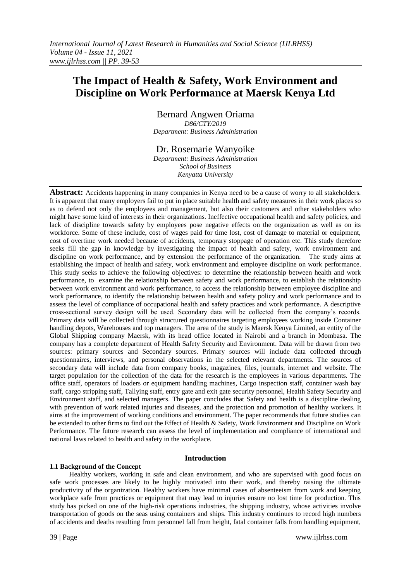# **The Impact of Health & Safety, Work Environment and Discipline on Work Performance at Maersk Kenya Ltd**

Bernard Angwen Oriama *D86/CTY/2019 Department: Business Administration*

Dr. Rosemarie Wanyoike

*Department: Business Administration School of Business Kenyatta University*

**Abstract:** Accidents happening in many companies in Kenya need to be a cause of worry to all stakeholders. It is apparent that many employers fail to put in place suitable health and safety measures in their work places so as to defend not only the employees and management, but also their customers and other stakeholders who might have some kind of interests in their organizations. Ineffective occupational health and safety policies, and lack of discipline towards safety by employees pose negative effects on the organization as well as on its workforce. Some of these include, cost of wages paid for time lost, cost of damage to material or equipment, cost of overtime work needed because of accidents, temporary stoppage of operation etc. This study therefore seeks fill the gap in knowledge by investigating the impact of health and safety, work environment and discipline on work performance, and by extension the performance of the organization. The study aims at establishing the impact of health and safety, work environment and employee discipline on work performance. This study seeks to achieve the following objectives: to determine the relationship between health and work performance, to examine the relationship between safety and work performance, to establish the relationship between work environment and work performance, to access the relationship between employee discipline and work performance, to identify the relationship between health and safety policy and work performance and to assess the level of compliance of occupational health and safety practices and work performance. A descriptive cross-sectional survey design will be used. Secondary data will be collected from the company"s records. Primary data will be collected through structured questionnaires targeting employees working inside Container handling depots, Warehouses and top managers. The area of the study is Maersk Kenya Limited, an entity of the Global Shipping company Maersk, with its head office located in Nairobi and a branch in Mombasa. The company has a complete department of Health Safety Security and Environment. Data will be drawn from two sources: primary sources and Secondary sources. Primary sources will include data collected through questionnaires, interviews, and personal observations in the selected relevant departments. The sources of secondary data will include data from company books, magazines, files, journals, internet and website. The target population for the collection of the data for the research is the employees in various departments. The office staff, operators of loaders or equipment handling machines, Cargo inspection staff, container wash bay staff, cargo stripping staff, Tallying staff, entry gate and exit gate security personnel, Health Safety Security and Environment staff, and selected managers. The paper concludes that Safety and health is a discipline dealing with prevention of work related injuries and diseases, and the protection and promotion of healthy workers. It aims at the improvement of working conditions and environment. The paper recommends that future studies can be extended to other firms to find out the Effect of Health & Safety, Work Environment and Discipline on Work Performance. The future research can assess the level of implementation and compliance of international and national laws related to health and safety in the workplace.

# **Introduction**

# **1.1 Background of the Concept**

Healthy workers, working in safe and clean environment, and who are supervised with good focus on safe work processes are likely to be highly motivated into their work, and thereby raising the ultimate productivity of the organization. Healthy workers have minimal cases of absenteeism from work and keeping workplace safe from practices or equipment that may lead to injuries ensure no lost time for production. This study has picked on one of the high-risk operations industries, the shipping industry, whose activities involve transportation of goods on the seas using containers and ships. This industry continues to record high numbers of accidents and deaths resulting from personnel fall from height, fatal container falls from handling equipment,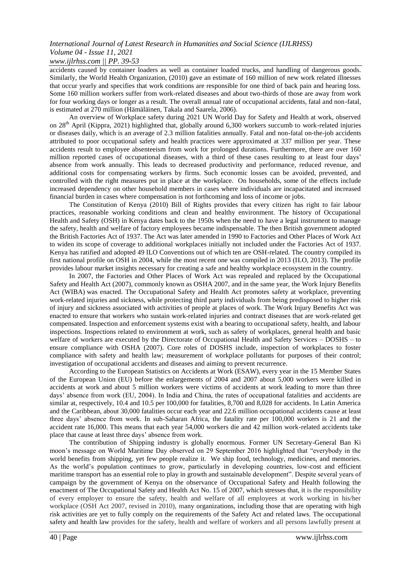# *www.ijlrhss.com || PP. 39-53*

accidents caused by container loaders as well as container loaded trucks, and handling of dangerous goods. Similarly, the World Health Organization, (2010) gave an estimate of 160 million of new work related illnesses that occur yearly and specifies that work conditions are responsible for one third of back pain and hearing loss. Some 160 million workers suffer from work-related diseases and about two-thirds of those are away from work for four working days or longer as a result. The overall annual rate of occupational accidents, fatal and non-fatal, is estimated at 270 million (Hämäläinen, Takala and Saarela, 2006).

An overview of Workplace safety during 2021 UN World Day for Safety and Health at work, observed on 28th April (Kippra, 2021) highlighted that, globally around 6,300 workers succumb to work-related injuries or diseases daily, which is an average of 2.3 million fatalities annually. Fatal and non-fatal on-the-job accidents attributed to poor occupational safety and health practices were approximated at 337 million per year. These accidents result to employee absenteeism from work for prolonged durations. Furthermore, there are over 160 million reported cases of occupational diseases, with a third of these cases resulting to at least four days" absence from work annually. This leads to decreased productivity and performance, reduced revenue, and additional costs for compensating workers by firms. Such economic losses can be avoided, prevented, and controlled with the right measures put in place at the workplace. On households, some of the effects include increased dependency on other household members in cases where individuals are incapacitated and increased financial burden in cases where compensation is not forthcoming and loss of income or jobs.

The Constitution of Kenya (2010) Bill of Rights provides that every citizen has right to fair labour practices, reasonable working conditions and clean and healthy environment. The history of Occupational Health and Safety (OSH) in Kenya dates back to the 1950s when the need to have a legal instrument to manage the safety, health and welfare of factory employees became indispensable. The then British government adopted the British Factories Act of 1937. The Act was later amended in 1990 to Factories and Other Places of Work Act to widen its scope of coverage to additional workplaces initially not included under the Factories Act of 1937. Kenya has ratified and adopted 49 ILO Conventions out of which ten are OSH-related. The country compiled its first national profile on OSH in 2004, while the most recent one was compiled in 2013 (ILO, 2013). The profile provides labour market insights necessary for creating a safe and healthy workplace ecosystem in the country.

In 2007, the Factories and Other Places of Work Act was repealed and replaced by the Occupational Safety and Health Act (2007), commonly known as OSHA 2007, and in the same year, the Work Injury Benefits Act (WIBA) was enacted. The Occupational Safety and Health Act promotes safety at workplace, preventing work-related injuries and sickness, while protecting third party individuals from being predisposed to higher risk of injury and sickness associated with activities of people at places of work. The Work Injury Benefits Act was enacted to ensure that workers who sustain work-related injuries and contract diseases that are work-related get compensated. Inspection and enforcement systems exist with a bearing to occupational safety, health, and labour inspections. Inspections related to environment at work, such as safety of workplaces, general health and basic welfare of workers are executed by the Directorate of Occupational Health and Safety Services – DOSHS – to ensure compliance with OSHA (2007). Core roles of DOSHS include, inspection of workplaces to foster compliance with safety and health law; measurement of workplace pollutants for purposes of their control; investigation of occupational accidents and diseases and aiming to prevent recurrence.

According to the European Statistics on Accidents at Work (ESAW), every year in the 15 Member States of the European Union (EU) before the enlargements of 2004 and 2007 about 5,000 workers were killed in accidents at work and about 5 million workers were victims of accidents at work leading to more than three days" absence from work (EU, 2004). In India and China, the rates of occupational fatalities and accidents are similar at, respectively, 10.4 and 10.5 per 100,000 for fatalities, 8,700 and 8,028 for accidents. In Latin America and the Caribbean, about 30,000 fatalities occur each year and 22.6 million occupational accidents cause at least three days" absence from work. In sub-Saharan Africa, the fatality rate per 100,000 workers is 21 and the accident rate 16,000. This means that each year 54,000 workers die and 42 million work-related accidents take place that cause at least three days" absence from work.

The contribution of Shipping industry is globally enormous. Former UN Secretary-General Ban Ki moon"s message on World Maritime Day observed on 29 September 2016 highlighted that "everybody in the world benefits from shipping, yet few people realize it. We ship food, technology, medicines, and memories. As the world"s population continues to grow, particularly in developing countries, low-cost and efficient maritime transport has an essential role to play in growth and sustainable development". Despite several years of campaign by the government of Kenya on the observance of Occupational Safety and Health following the enactment of The Occupational Safety and Health Act No. 15 of 2007, which stresses that, it is the responsibility of every employer to ensure the safety, health and welfare of all employees at work working in his/her workplace (OSH Act 2007, revised in 2010), many organizations, including those that are operating with high risk activities are yet to fully comply on the requirements of the Safety Act and related laws. The occupational safety and health law provides for the safety, health and welfare of workers and all persons lawfully present at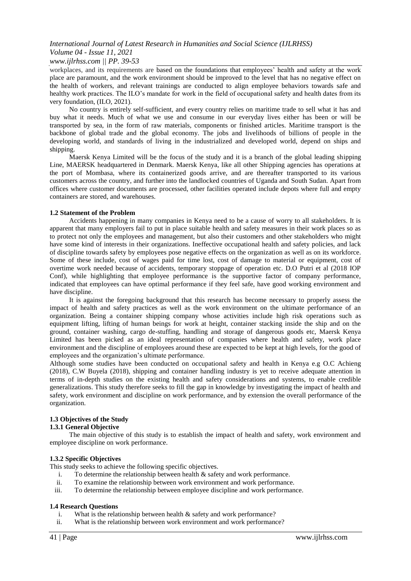# *www.ijlrhss.com || PP. 39-53*

workplaces, and its requirements are based on the foundations that employees" health and safety at the work place are paramount, and the work environment should be improved to the level that has no negative effect on the health of workers, and relevant trainings are conducted to align employee behaviors towards safe and healthy work practices. The ILO"s mandate for work in the field of occupational safety and health dates from its very foundation, (ILO, 2021).

No country is entirely self-sufficient, and every country relies on maritime trade to sell what it has and buy what it needs. Much of what we use and consume in our everyday lives either has been or will be transported by sea, in the form of raw materials, components or finished articles. Maritime transport is the backbone of global trade and the global economy. The jobs and livelihoods of billions of people in the developing world, and standards of living in the industrialized and developed world, depend on ships and shipping.

Maersk Kenya Limited will be the focus of the study and it is a branch of the global leading shipping Line, MAERSK headquartered in Denmark. Maersk Kenya, like all other Shipping agencies has operations at the port of Mombasa, where its containerized goods arrive, and are thereafter transported to its various customers across the country, and further into the landlocked countries of Uganda and South Sudan. Apart from offices where customer documents are processed, other facilities operated include depots where full and empty containers are stored, and warehouses.

# **1.2 Statement of the Problem**

Accidents happening in many companies in Kenya need to be a cause of worry to all stakeholders. It is apparent that many employers fail to put in place suitable health and safety measures in their work places so as to protect not only the employees and management, but also their customers and other stakeholders who might have some kind of interests in their organizations. Ineffective occupational health and safety policies, and lack of discipline towards safety by employees pose negative effects on the organization as well as on its workforce. Some of these include, cost of wages paid for time lost, cost of damage to material or equipment, cost of overtime work needed because of accidents, temporary stoppage of operation etc. D.O Putri et al (2018 IOP Conf), while highlighting that employee performance is the supportive factor of company performance, indicated that employees can have optimal performance if they feel safe, have good working environment and have discipline.

It is against the foregoing background that this research has become necessary to properly assess the impact of health and safety practices as well as the work environment on the ultimate performance of an organization. Being a container shipping company whose activities include high risk operations such as equipment lifting, lifting of human beings for work at height, container stacking inside the ship and on the ground, container washing, cargo de-stuffing, handling and storage of dangerous goods etc, Maersk Kenya Limited has been picked as an ideal representation of companies where health and safety, work place environment and the discipline of employees around these are expected to be kept at high levels, for the good of employees and the organization"s ultimate performance.

Although some studies have been conducted on occupational safety and health in Kenya e.g O.C Achieng (2018), C.W Buyela (2018), shipping and container handling industry is yet to receive adequate attention in terms of in-depth studies on the existing health and safety considerations and systems, to enable credible generalizations. This study therefore seeks to fill the gap in knowledge by investigating the impact of health and safety, work environment and discipline on work performance, and by extension the overall performance of the organization.

# **1.3 Objectives of the Study**

# **1.3.1 General Objective**

The main objective of this study is to establish the impact of health and safety, work environment and employee discipline on work performance.

# **1.3.2 Specific Objectives**

This study seeks to achieve the following specific objectives.

- i. To determine the relationship between health  $\&$  safety and work performance.
- ii. To examine the relationship between work environment and work performance.
- iii. To determine the relationship between employee discipline and work performance.

# **1.4 Research Questions**

- i. What is the relationship between health  $\&$  safety and work performance?
- ii. What is the relationship between work environment and work performance?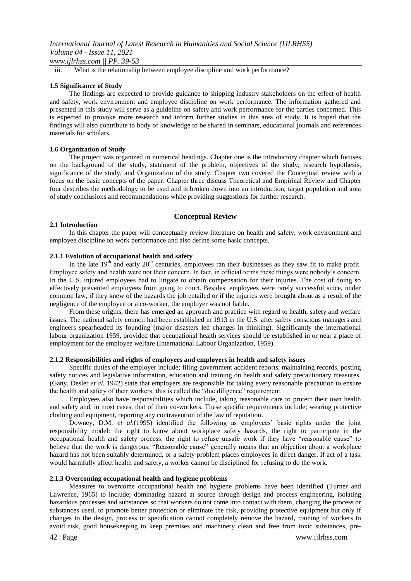*www.ijlrhss.com || PP. 39-53*

iii. What is the relationship between employee discipline and work performance?

#### **1.5 Significance of Study**

The findings are expected to provide guidance to shipping industry stakeholders on the effect of health and safety, work environment and employee discipline on work performance. The information gathered and presented in this study will serve as a guideline on safety and work performance for the parties concerned. This is expected to provoke more research and inform further studies in this area of study. It is hoped that the findings will also contribute to body of knowledge to be shared in seminars, educational journals and references materials for scholars.

#### **1.6 Organization of Study**

The project was organized in numerical headings. Chapter one is the introductory chapter which focuses on the background of the study, statement of the problem, objectives of the study, research hypothesis, significance of the study, and Organization of the study. Chapter two covered the Conceptual review with a focus on the basic concepts of the paper. Chapter three discuss Theoretical and Empirical Review and Chapter four describes the methodology to be used and is broken down into an introduction, target population and area of study conclusions and recommendations while providing suggestions for further research.

# **Conceptual Review**

#### **2.1 Introduction**

In this chapter the paper will conceptually review literature on health and safety, work environment and employee discipline on work performance and also define some basic concepts.

#### **2.1.1 Evolution of occupational health and safety**

In the late  $19<sup>th</sup>$  and early  $20<sup>th</sup>$  centuries, employees ran their businesses as they saw fit to make profit. Employee safety and health were not their concern. In fact, in official terms these things were nobody"s concern. In the U.S. injured employees had to litigate to obtain compensation for their injuries. The cost of doing so effectively prevented employees from going to court. Besides, employees were rarely successful since, under common law, if they knew of the hazards the job entailed or if the injuries were brought about as a result of the negligence of the employee or a co-worker, the employer was not liable.

From these origins, there has emerged an approach and practice with regard to health, safety and welfare issues. The national safety council had been established in 1913 in the U.S. after safety conscious managers and engineers spearheaded its founding (major disasters led changes in thinking). Significantly the international labour organization 1959, provided that occupational health services should be established in or near a place of employment for the employee welfare (International Labour Organization, 1959).

# **2.1.2 Responsibilities and rights of employees and employers in health and safety issues**

Specific duties of the employer include; filing government accident reports, maintaining records, posting safety notices and legislative information, education and training on health and safety precautionary measures. (Gany, Desler *et al.* 1942) state that employers are responsible for taking every reasonable precaution to ensure the health and safety of their workers, this is called the "due diligence" requirement.

Employees also have responsibilities which include, taking reasonable care to protect their own health and safety and, in most cases, that of their co-workers. These specific requirements include; wearing protective clothing and equipment, reporting any contravention of the law of reputation.

Downey, D.M. *et al*.(1995) identified the following as employees" basic rights under the joint responsibility model: the right to know about workplace safety hazards, the right to participate in the occupational health and safety process, the right to refuse unsafe work if they have "reasonable cause" to believe that the work is dangerous. "Reasonable cause" generally means that an objection about a workplace hazard has not been suitably determined, or a safety problem places employees in direct danger. If act of a task would harmfully affect health and safety, a worker cannot be disciplined for refusing to do the work.

# **2.1.3 Overcoming occupational health and hygiene problems**

Measures to overcome occupational health and hygiene problems have been identified (Turner and Lawrence, 1965) to include; dominating hazard at source through design and process engineering, isolating hazardous processes and substances so that workers do not come into contact with them, changing the process or substances used, to promote better protection or eliminate the risk, providing protective equipment but only if changes to the design, process or specification cannot completely remove the hazard, training of workers to avoid risk, good housekeeping to keep premises and machinery clean and free from toxic substances, pre-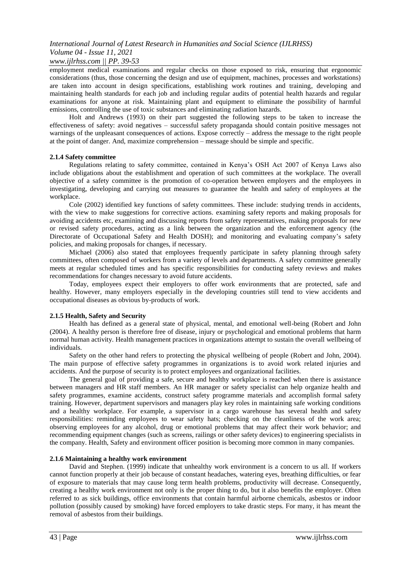# *www.ijlrhss.com || PP. 39-53*

employment medical examinations and regular checks on those exposed to risk, ensuring that ergonomic considerations (thus, those concerning the design and use of equipment, machines, processes and workstations) are taken into account in design specifications, establishing work routines and training, developing and maintaining health standards for each job and including regular audits of potential health hazards and regular examinations for anyone at risk. Maintaining plant and equipment to eliminate the possibility of harmful emissions, controlling the use of toxic substances and eliminating radiation hazards.

Holt and Andrews (1993) on their part suggested the following steps to be taken to increase the effectiveness of safety: avoid negatives – successful safety propaganda should contain positive messages not warnings of the unpleasant consequences of actions. Expose correctly – address the message to the right people at the point of danger. And, maximize comprehension – message should be simple and specific.

# **2.1.4 Safety committee**

Regulations relating to safety committee, contained in Kenya"s OSH Act 2007 of Kenya Laws also include obligations about the establishment and operation of such committees at the workplace. The overall objective of a safety committee is the promotion of co-operation between employers and the employees in investigating, developing and carrying out measures to guarantee the health and safety of employees at the workplace.

Cole (2002) identified key functions of safety committees. These include: studying trends in accidents, with the view to make suggestions for corrective actions. examining safety reports and making proposals for avoiding accidents etc, examining and discussing reports from safety representatives, making proposals for new or revised safety procedures, acting as a link between the organization and the enforcement agency (the Directorate of Occupational Safety and Health DOSH); and monitoring and evaluating company"s safety policies, and making proposals for changes, if necessary.

Michael (2006) also stated that employees frequently participate in safety planning through safety committees, often composed of workers from a variety of levels and departments. A safety committee generally meets at regular scheduled times and has specific responsibilities for conducting safety reviews and makes recommendations for changes necessary to avoid future accidents.

Today, employees expect their employers to offer work environments that are protected, safe and healthy. However, many employers especially in the developing countries still tend to view accidents and occupational diseases as obvious by-products of work.

# **2.1.5 Health, Safety and Security**

Health has defined as a general state of physical, mental, and emotional well-being (Robert and John (2004). A healthy person is therefore free of disease, injury or psychological and emotional problems that harm normal human activity. Health management practices in organizations attempt to sustain the overall wellbeing of individuals.

Safety on the other hand refers to protecting the physical wellbeing of people (Robert and John, 2004). The main purpose of effective safety programmes in organizations is to avoid work related injuries and accidents. And the purpose of security is to protect employees and organizational facilities.

The general goal of providing a safe, secure and healthy workplace is reached when there is assistance between managers and HR staff members. An HR manager or safety specialist can help organize health and safety programmes, examine accidents, construct safety programme materials and accomplish formal safety training. However, department supervisors and managers play key roles in maintaining safe working conditions and a healthy workplace. For example, a supervisor in a cargo warehouse has several health and safety responsibilities: reminding employees to wear safety hats; checking on the cleanliness of the work area; observing employees for any alcohol, drug or emotional problems that may affect their work behavior; and recommending equipment changes (such as screens, railings or other safety devices) to engineering specialists in the company. Health, Safety and environment officer position is becoming more common in many companies.

# **2.1.6 Maintaining a healthy work environment**

David and Stephen. (1999) indicate that unhealthy work environment is a concern to us all. If workers cannot function properly at their job because of constant headaches, watering eyes, breathing difficulties, or fear of exposure to materials that may cause long term health problems, productivity will decrease. Consequently, creating a healthy work environment not only is the proper thing to do, but it also benefits the employer. Often referred to as sick buildings, office environments that contain harmful airborne chemicals, asbestos or indoor pollution (possibly caused by smoking) have forced employers to take drastic steps. For many, it has meant the removal of asbestos from their buildings.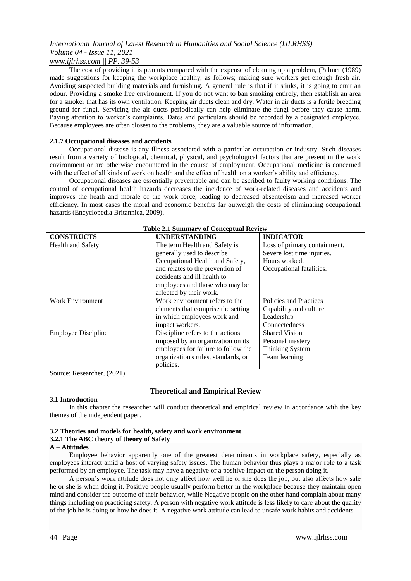The cost of providing it is peanuts compared with the expense of cleaning up a problem, (Palmer (1989) made suggestions for keeping the workplace healthy, as follows; making sure workers get enough fresh air. Avoiding suspected building materials and furnishing. A general rule is that if it stinks, it is going to emit an odour. Providing a smoke free environment. If you do not want to ban smoking entirely, then establish an area for a smoker that has its own ventilation. Keeping air ducts clean and dry. Water in air ducts is a fertile breeding ground for fungi. Servicing the air ducts periodically can help eliminate the fungi before they cause harm. Paying attention to worker's complaints. Dates and particulars should be recorded by a designated employee. Because employees are often closest to the problems, they are a valuable source of information.

# **2.1.7 Occupational diseases and accidents**

Occupational disease is any illness associated with a particular occupation or industry. Such diseases result from a variety of biological, chemical, physical, and psychological factors that are present in the work environment or are otherwise encountered in the course of employment. Occupational medicine is concerned with the effect of all kinds of work on health and the effect of health on a worker's ability and efficiency.

Occupational diseases are essentially preventable and can be ascribed to faulty working conditions. The control of occupational health hazards decreases the incidence of work-related diseases and accidents and improves the heath and morale of the work force, leading to decreased absenteeism and increased worker efficiency. In most cases the moral and economic benefits far outweigh the costs of eliminating occupational hazards (Encyclopedia Britannica, 2009).

| <b>Table 2.1 Summary of Conceptual Review</b> |                                     |                              |  |  |  |
|-----------------------------------------------|-------------------------------------|------------------------------|--|--|--|
| <b>CONSTRUCTS</b>                             | <b>UNDERSTANDING</b>                | <b>INDICATOR</b>             |  |  |  |
| <b>Health and Safety</b>                      | The term Health and Safety is       | Loss of primary containment. |  |  |  |
|                                               | generally used to describe          | Severe lost time injuries.   |  |  |  |
|                                               | Occupational Health and Safety,     | Hours worked.                |  |  |  |
|                                               | and relates to the prevention of    | Occupational fatalities.     |  |  |  |
|                                               | accidents and ill health to         |                              |  |  |  |
|                                               | employees and those who may be      |                              |  |  |  |
|                                               | affected by their work.             |                              |  |  |  |
| <b>Work Environment</b>                       | Work environment refers to the      | Policies and Practices       |  |  |  |
|                                               | elements that comprise the setting  | Capability and culture       |  |  |  |
|                                               | in which employees work and         | Leadership                   |  |  |  |
|                                               | impact workers.                     | Connectedness                |  |  |  |
| <b>Employee Discipline</b>                    | Discipline refers to the actions    | <b>Shared Vision</b>         |  |  |  |
|                                               | imposed by an organization on its   | Personal mastery             |  |  |  |
|                                               | employees for failure to follow the | Thinking System              |  |  |  |
|                                               | organization's rules, standards, or | Team learning                |  |  |  |
|                                               | policies.                           |                              |  |  |  |

Source: Researcher, (2021)

# **Theoretical and Empirical Review**

# **3.1 Introduction**

In this chapter the researcher will conduct theoretical and empirical review in accordance with the key themes of the independent paper.

# **3.2 Theories and models for health, safety and work environment**

# **3.2.1 The ABC theory of theory of Safety**

#### **A – Attitudes**

Employee behavior apparently one of the greatest determinants in workplace safety, especially as employees interact amid a host of varying safety issues. The human behavior thus plays a major role to a task performed by an employee. The task may have a negative or a positive impact on the person doing it.

A person"s work attitude does not only affect how well he or she does the job, but also affects how safe he or she is when doing it. Positive people usually perform better in the workplace because they maintain open mind and consider the outcome of their behavior, while Negative people on the other hand complain about many things including on practicing safety. A person with negative work attitude is less likely to care about the quality of the job he is doing or how he does it. A negative work attitude can lead to unsafe work habits and accidents.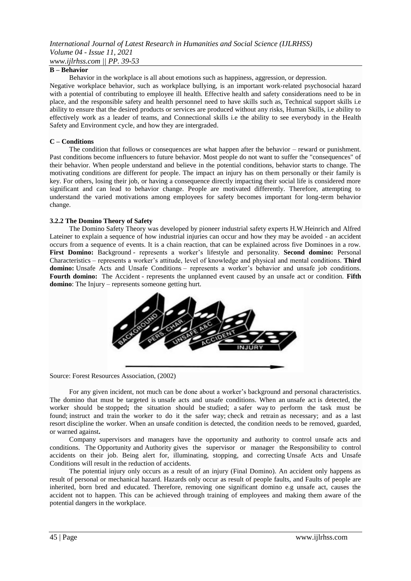# **B – Behavior**

Behavior in the workplace is all about emotions such as happiness, aggression, or depression.

Negative workplace behavior, such as workplace bullying, is an important work‐related psychosocial hazard with a potential of contributing to employee ill health. Effective health and safety considerations need to be in place, and the responsible safety and health personnel need to have skills such as, Technical support skills i.e ability to ensure that the desired products or services are produced without any risks, Human Skills, i.e ability to effectively work as a leader of teams, and Connectional skills i.e the ability to see everybody in the Health Safety and Environment cycle, and how they are intergraded.

# **C – Conditions**

The condition that follows or consequences are what happen after the behavior – reward or punishment. Past conditions become influencers to future behavior. Most people do not want to suffer the "consequences" of their behavior. When people understand and believe in the potential conditions, behavior starts to change. The motivating conditions are different for people. The impact an injury has on them personally or their family is key. For others, losing their job, or having a consequence directly impacting their social life is considered more significant and can lead to behavior change. People are motivated differently. Therefore, attempting to understand the varied motivations among employees for safety becomes important for long-term behavior change.

# **3.2.2 The Domino Theory of Safety**

The Domino Safety Theory was developed by pioneer industrial safety experts H.W.Heinrich and Alfred Lateiner to explain a sequence of how industrial injuries can occur and how they may be avoided - an accident occurs from a sequence of events. It is a chain reaction, that can be explained across five Dominoes in a row. **First Domino:** Background - represents a worker"s lifestyle and personality. **Second domino:** Personal Characteristics – represents a worker"s attitude, level of knowledge and physical and mental condition*s*. **Third domino:** Unsafe Acts and Unsafe Conditions *–* represents a worker"s behavior and unsafe job conditions. **Fourth domino:** The Accident *-* represents the unplanned event caused by an unsafe act or condition. **Fifth domino**: The Injury – represents someone getting hurt.



Source: Forest Resources Association, (2002)

For any given incident, not much can be done about a worker"s background and personal characteristics. The domino that must be targeted is unsafe acts and unsafe conditions. When an unsafe act is detected, the worker should be stopped**;** the situation should be studied; a safer way to perform the task must be found; instruct and train the worker to do it the safer way; check and retrain as necessary; and as a last resort discipline the worker. When an unsafe condition is detected, the condition needs to be removed, guarded, or warned against**.**

Company supervisors and managers have the opportunity and authority to control unsafe acts and conditions. The Opportunity and Authority gives the supervisor or manager the Responsibility to control accidents on their job. Being alert for, illuminating, stopping, and correcting Unsafe Acts and Unsafe Conditions will result in the reduction of accidents.

The potential injury only occurs as a result of an injury (Final Domino). An accident only happens as result of personal or mechanical hazard. Hazards only occur as result of people faults, and Faults of people are inherited, born bred and educated. Therefore, removing one significant domino e.g unsafe act, causes the accident not to happen. This can be achieved through training of employees and making them aware of the potential dangers in the workplace.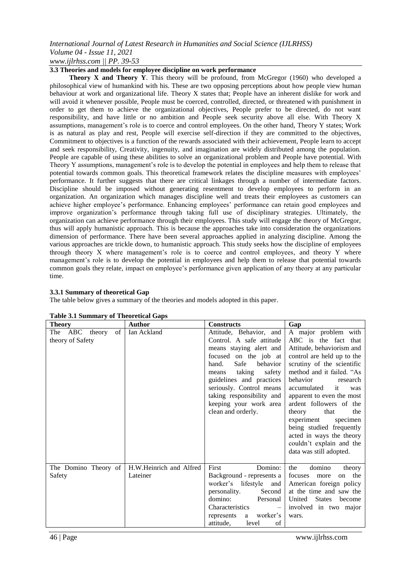# *www.ijlrhss.com || PP. 39-53*

# **3.3 Theories and models for employee discipline on work performance**

**Theory X and Theory Y**. This theory will be profound, from McGregor (1960) who developed a philosophical view of humankind with his. These are two opposing perceptions about how people view human behaviour at work and organizational life. Theory X states that; People have an inherent dislike for work and will avoid it whenever possible, People must be coerced, controlled, directed, or threatened with punishment in order to get them to achieve the organizational objectives, People prefer to be directed, do not want responsibility, and have little or no ambition and People seek security above all else. With Theory X assumptions, management's role is to coerce and control employees. On the other hand, Theory Y states; Work is as natural as play and rest, People will exercise self-direction if they are committed to the objectives, Commitment to objectives is a function of the rewards associated with their achievement, People learn to accept and seek responsibility, Creativity, ingenuity, and imagination are widely distributed among the population. People are capable of using these abilities to solve an organizational problem and People have potential. With Theory Y assumptions, management's role is to develop the potential in employees and help them to release that potential towards common goals. This theoretical framework relates the discipline measures with employees" performance. It further suggests that there are critical linkages through a number of intermediate factors. Discipline should be imposed without generating resentment to develop employees to perform in an organization. An organization which manages discipline well and treats their employees as customers can achieve higher employee's performance. Enhancing employees' performance can retain good employees and improve organization"s performance through taking full use of disciplinary strategies. Ultimately, the organization can achieve performance through their employees. This study will engage the theory of McGregor, thus will apply humanistic approach. This is because the approaches take into consideration the organizations dimension of performance. There have been several approaches applied in analyzing discipline. Among the various approaches are trickle down, to humanistic approach. This study seeks how the discipline of employees through theory X where management"s role is to coerce and control employees, and theory Y where management"s role is to develop the potential in employees and help them to release that potential towards common goals they relate, impact on employee's performance given application of any theory at any particular time.

# **3.3.1 Summary of theoretical Gap**

The table below gives a summary of the theories and models adopted in this paper.

| <b>Theory</b>                            | Author                              | <b>Constructs</b>                                                                                                                                                                                                                                                                                      | Gap                                                                                                                                                                                                                                                                                                                                                                                                                                              |  |
|------------------------------------------|-------------------------------------|--------------------------------------------------------------------------------------------------------------------------------------------------------------------------------------------------------------------------------------------------------------------------------------------------------|--------------------------------------------------------------------------------------------------------------------------------------------------------------------------------------------------------------------------------------------------------------------------------------------------------------------------------------------------------------------------------------------------------------------------------------------------|--|
| The ABC theory<br>of<br>theory of Safety | Ian Ackland                         | Attitude, Behavior, and<br>Control. A safe attitude<br>means staying alert and<br>focused on the job at<br>Safe<br>behavior<br>hand.<br>taking<br>safety<br>means<br>guidelines and practices<br>seriously. Control means<br>taking responsibility and<br>keeping your work area<br>clean and orderly. | A major problem with<br>ABC is the fact that<br>Attitude, behaviorism and<br>control are held up to the<br>scrutiny of the scientific<br>method and it failed. "As<br>behavior<br>research<br>accumulated<br>it<br>was<br>apparent to even the most<br>ardent followers of the<br>that<br>theory<br>the<br>experiment<br>specimen<br>being studied frequently<br>acted in ways the theory<br>couldn't explain and the<br>data was still adopted. |  |
| The Domino Theory of<br>Safety           | H.W.Heinrich and Alfred<br>Lateiner | Domino:<br>First<br>Background - represents a<br>worker's lifestyle<br>and<br>personality.<br>Second<br>domino:<br>Personal<br>Characteristics<br>$\hspace{0.1mm}-\hspace{0.1mm}$<br>worker's<br>represents<br><sub>a</sub><br>attitude,<br>of<br>level                                                | domino<br>the<br>theory<br>the<br>focuses<br>more<br>on<br>American foreign policy<br>at the time and saw the<br><b>States</b><br>United<br>become<br>involved in two major<br>wars.                                                                                                                                                                                                                                                             |  |

# **Table 3.1 Summary of Theoretical Gaps**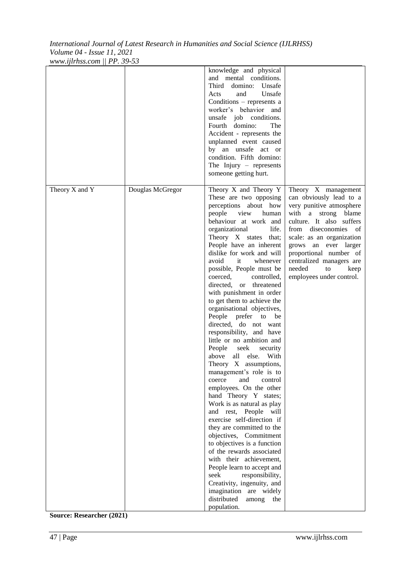| Theory X and Y |                  | knowledge and physical<br>and mental conditions.<br>Third<br>domino: Unsafe<br>Unsafe<br>Acts<br>and<br>Conditions - represents a<br>worker's behavior and<br>unsafe job conditions.<br>Fourth domino:<br>The<br>Accident - represents the<br>unplanned event caused<br>by an unsafe act or<br>condition. Fifth domino:<br>The Injury $-$ represents<br>someone getting hurt.<br>Theory X and Theory Y                                                                                                                                                                                                                                                                                                                                                                                                                                                                                                                                                                                                                                                                                                                    |                                                                                                                                                                                                                                                                                                                      |
|----------------|------------------|---------------------------------------------------------------------------------------------------------------------------------------------------------------------------------------------------------------------------------------------------------------------------------------------------------------------------------------------------------------------------------------------------------------------------------------------------------------------------------------------------------------------------------------------------------------------------------------------------------------------------------------------------------------------------------------------------------------------------------------------------------------------------------------------------------------------------------------------------------------------------------------------------------------------------------------------------------------------------------------------------------------------------------------------------------------------------------------------------------------------------|----------------------------------------------------------------------------------------------------------------------------------------------------------------------------------------------------------------------------------------------------------------------------------------------------------------------|
|                | Douglas McGregor | These are two opposing<br>perceptions about how<br>view<br>people<br>human<br>behaviour at work and<br>organizational<br>life.<br>Theory X states that;<br>People have an inherent<br>dislike for work and will<br>avoid<br>it<br>whenever<br>possible, People must be<br>coerced,<br>controlled,<br>directed, or threatened<br>with punishment in order<br>to get them to achieve the<br>organisational objectives,<br>People prefer to be<br>directed, do not want<br>responsibility, and have<br>little or no ambition and<br>People seek<br>security<br>above<br>all else. With<br>Theory X assumptions,<br>management's role is to<br>and<br>control<br>coerce<br>employees. On the other<br>hand Theory Y states;<br>Work is as natural as play<br>and rest, People will<br>exercise self-direction if<br>they are committed to the<br>objectives, Commitment<br>to objectives is a function<br>of the rewards associated<br>with their achievement,<br>People learn to accept and<br>seek<br>responsibility,<br>Creativity, ingenuity, and<br>imagination are widely<br>distributed<br>among<br>the<br>population. | Theory X management<br>can obviously lead to a<br>very punitive atmosphere<br>with a strong blame<br>culture. It also suffers<br>from diseconomies of<br>scale: as an organization<br>grows an ever larger<br>proportional number of<br>centralized managers are<br>needed<br>to<br>keep<br>employees under control. |

**Source: Researcher (2021)**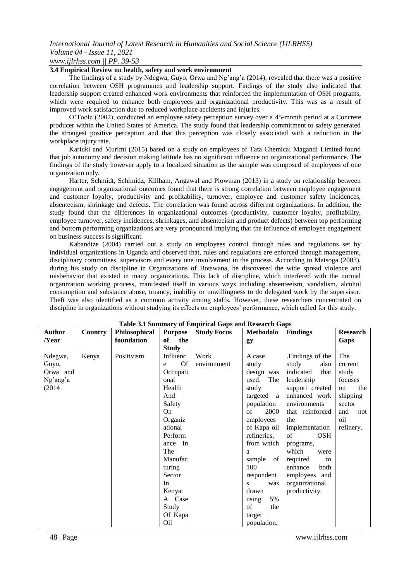# **3.4 Empirical Review on health, safety and work environment**

The findings of a study by Ndegwa, Guyo, Orwa and Ng"ang"a (2014), revealed that there was a positive correlation between OSH programmes and leadership support. Findings of the study also indicated that leadership support created enhanced work environments that reinforced the implementation of OSH programs, which were required to enhance both employees and organizational productivity. This was as a result of improved work satisfaction due to reduced workplace accidents and injuries.

O"Toole (2002), conducted an employee safety perception survey over a 45-month period at a Concrete producer within the United States of America. The study found that leadership commitment to safety generated the strongest positive perception and that this perception was closely associated with a reduction in the workplace injury rate.

Kariuki and Murimi (2015) based on a study on employees of Tata Chemical Magandi Limited found that job autonomy and decision making latitude has no significant influence on organizational performance. The findings of the study however apply to a localized situation as the sample was composed of employees of one organization only.

Harter, Schmidt, Schimidz, Killham, Angawal and Plowman (2013) in a study on relationship between engagement and organizational outcomes found that there is strong correlation between employee engagement and customer loyalty, productivity and profitability, turnover, employee and customer safety incidences, absenteeism, shrinkage and defects. The correlation was found across different organizations. In addition, the study found that the differences in organizational outcomes (productivity, customer loyalty, profitability, employee turnover, safety incidences, shrinkages, and absenteeism and product defects) between top performing and bottom performing organizations are very pronounced implying that the influence of employee engagement on business success is significant.

Kabandize (2004) carried out a study on employees control through rules and regulations set by individual organizations in Uganda and observed that, rules and regulations are enforced through management, disciplinary committees, supervisors and every one involvement in the process. According to Matsoga (2003), during his study on discipline in Organizations of Botswana, he discovered the wide spread violence and misbehavior that existed in many organizations. This lack of discipline, which interfered with the normal organization working process, manifested itself in various ways including absenteeism, vandalism, alcohol consumption and substance abuse, truancy, inability or unwillingness to do delegated work by the supervisor. Theft was also identified as a common activity among staffs. However, these researchers concentrated on discipline in organizations without studying its effects on employees" performance, which called for this study.

| <b>Author</b> | Country | Philosophical | <b>Purpose</b>  | тамк мт машина у от епиритеат барв ана кемен ен барв<br><b>Study Focus</b> | Methodolo    | <b>Findings</b>   | <b>Research</b> |
|---------------|---------|---------------|-----------------|----------------------------------------------------------------------------|--------------|-------------------|-----------------|
| /Year         |         | foundation    | of<br>the       |                                                                            | gy           |                   | Gaps            |
|               |         |               | <b>Study</b>    |                                                                            |              |                   |                 |
| Ndegwa,       | Kenya   | Positivism    | Influenc        | Work                                                                       | A case       | .Findings of the  | The             |
| Guyo,         |         |               | <b>Of</b><br>e  | environment                                                                | study        | study<br>also     | current         |
| Orwa and      |         |               | Occupati        |                                                                            | design was   | indicated<br>that | study           |
| Ng'ang'a      |         |               | onal            |                                                                            | used.<br>The | leadership        | focuses         |
| (2014)        |         |               | Health          |                                                                            | study        | support created   | the<br>on       |
|               |         |               | And             |                                                                            | targeted a   | enhanced work     | shipping        |
|               |         |               | Safety          |                                                                            | population   | environments      | sector          |
|               |         |               | On.             |                                                                            | 2000<br>of   | that reinforced   | and<br>not      |
|               |         |               | Organiz         |                                                                            | employees    | the               | oil             |
|               |         |               | ational         |                                                                            | of Kapa oil  | implementation    | refinery.       |
|               |         |               | Perform         |                                                                            | refineries,  | <b>OSH</b><br>of  |                 |
|               |         |               | In<br>ance      |                                                                            | from which   | programs,         |                 |
|               |         |               | The             |                                                                            | a            | which<br>were     |                 |
|               |         |               | Manufac         |                                                                            | sample<br>of | required<br>to    |                 |
|               |         |               | turing          |                                                                            | 100          | enhance<br>both   |                 |
|               |         |               | Sector          |                                                                            | respondent   | employees and     |                 |
|               |         |               | In              |                                                                            | was<br>S     | organizational    |                 |
|               |         |               | Kenya:          |                                                                            | drawn        | productivity.     |                 |
|               |         |               | A Case          |                                                                            | 5%<br>using  |                   |                 |
|               |         |               | Study           |                                                                            | of<br>the    |                   |                 |
|               |         |               | Of Kapa         |                                                                            | target       |                   |                 |
|               |         |               | O <sub>il</sub> |                                                                            | population.  |                   |                 |

# **Table 3.1 Summary of Empirical Gaps and Research Gaps**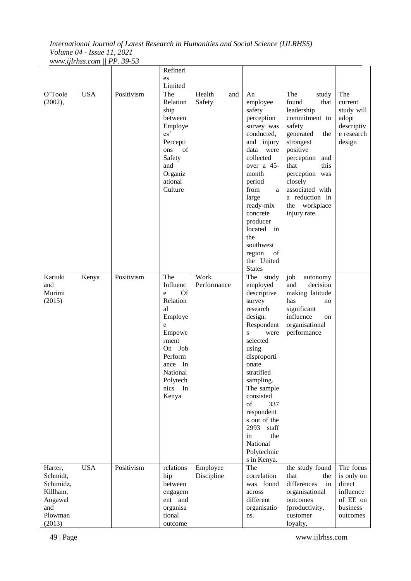|                                                                                     |            |            | Refineri                                                                                                                                                       |                         |                                                                                                                                                                                                                                                                                                                                   |                                                                                                                                                                                                                                                             |                                                                                    |
|-------------------------------------------------------------------------------------|------------|------------|----------------------------------------------------------------------------------------------------------------------------------------------------------------|-------------------------|-----------------------------------------------------------------------------------------------------------------------------------------------------------------------------------------------------------------------------------------------------------------------------------------------------------------------------------|-------------------------------------------------------------------------------------------------------------------------------------------------------------------------------------------------------------------------------------------------------------|------------------------------------------------------------------------------------|
|                                                                                     |            |            | es                                                                                                                                                             |                         |                                                                                                                                                                                                                                                                                                                                   |                                                                                                                                                                                                                                                             |                                                                                    |
|                                                                                     |            |            |                                                                                                                                                                |                         |                                                                                                                                                                                                                                                                                                                                   |                                                                                                                                                                                                                                                             |                                                                                    |
| O'Toole<br>(2002),                                                                  | <b>USA</b> | Positivism | Limited<br>The<br>Relation<br>ship<br>between<br>Employe<br>es'<br>Percepti<br>of<br>ons<br>Safety<br>and<br>Organiz<br>ational<br>Culture                     | Health<br>and<br>Safety | An<br>employee<br>safety<br>perception<br>survey was<br>conducted,<br>and injury<br>data were<br>collected<br>over a 45-<br>month<br>period<br>from<br>a<br>large<br>ready-mix<br>concrete<br>producer<br>located<br>in<br>the                                                                                                    | The<br>study<br>found<br>that<br>leadership<br>commitment to<br>safety<br>generated<br>the<br>strongest<br>positive<br>perception<br>and<br>this<br>that<br>perception was<br>closely<br>associated with<br>a reduction in<br>the workplace<br>injury rate. | The<br>current<br>study will<br>adopt<br>descriptiv<br>e research<br>design        |
|                                                                                     |            |            |                                                                                                                                                                |                         | southwest<br>region<br>of<br>the United<br><b>States</b>                                                                                                                                                                                                                                                                          |                                                                                                                                                                                                                                                             |                                                                                    |
| Kariuki<br>and<br>Murimi<br>(2015)                                                  | Kenya      | Positivism | The<br>Influenc<br>Of<br>e<br>Relation<br>al<br>Employe<br>e<br>Empowe<br>rment<br>On Job<br>Perform<br>In<br>ance<br>National<br>Polytech<br>nics In<br>Kenya | Work<br>Performance     | The study<br>employed<br>descriptive<br>survey<br>research<br>design.<br>Respondent<br>$\mathbf{s}$<br>were<br>selected<br>using<br>disproporti<br>onate<br>stratified<br>sampling.<br>The sample<br>consisted<br>of<br>337<br>respondent<br>s out of the<br>2993<br>staff<br>in<br>the<br>National<br>Polytechnic<br>s in Kenya. | job<br>autonomy<br>decision<br>and<br>making latitude<br>has<br>no<br>significant<br>influence<br>on<br>organisational<br>performance                                                                                                                       |                                                                                    |
| Harter,<br>Schmidt,<br>Schimidz,<br>Killham,<br>Angawal<br>and<br>Plowman<br>(2013) | <b>USA</b> | Positivism | relations<br>hip<br>between<br>engagem<br>ent and<br>organisa<br>tional<br>outcome                                                                             | Employee<br>Discipline  | The<br>correlation<br>was found<br>across<br>different<br>organisatio<br>ns.                                                                                                                                                                                                                                                      | the study found<br>that<br>the<br>differences<br>in<br>organisational<br>outcomes<br>(productivity,<br>customer<br>loyalty,                                                                                                                                 | The focus<br>is only on<br>direct<br>influence<br>of EE on<br>business<br>outcomes |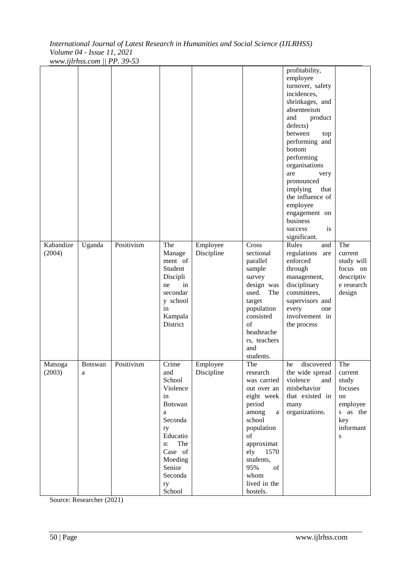| Kabandize         | Uganda              | Positivism | The                                                                                                                                                                  | Employee               | Cross                                                                                                                                                                                                        | profitability,<br>employee<br>turnover, safety<br>incidences,<br>shrinkages, and<br>absenteeism<br>and<br>product<br>defects)<br>between<br>top<br>performing and<br>bottom<br>performing<br>organisations<br>are<br>very<br>pronounced<br>implying<br>that<br>the influence of<br>employee<br>engagement on<br>business<br>success<br>is<br>significant.<br>Rules<br>and | The                                                                                       |
|-------------------|---------------------|------------|----------------------------------------------------------------------------------------------------------------------------------------------------------------------|------------------------|--------------------------------------------------------------------------------------------------------------------------------------------------------------------------------------------------------------|---------------------------------------------------------------------------------------------------------------------------------------------------------------------------------------------------------------------------------------------------------------------------------------------------------------------------------------------------------------------------|-------------------------------------------------------------------------------------------|
| (2004)            |                     |            | Manage<br>ment of<br>Student<br>Discipli<br>in<br>ne<br>secondar<br>y school<br>in<br>Kampala<br>District                                                            | Discipline             | sectional<br>parallel<br>sample<br>survey<br>design was<br>used.<br>The<br>target<br>population<br>consisted<br>$\sigma$ f<br>headteache<br>rs, teachers<br>and<br>students.                                 | regulations<br>are<br>enforced<br>through<br>management,<br>disciplinary<br>committees,<br>supervisors and<br>every<br>one<br>involvement in<br>the process                                                                                                                                                                                                               | current<br>study will<br>focus on<br>descriptiv<br>e research<br>design                   |
| Matsoga<br>(2003) | <b>Botswan</b><br>a | Positivism | Crime<br>and<br>School<br>Violence<br>in<br><b>Botswan</b><br>a<br>Seconda<br>ry<br>Educatio<br>The<br>n:<br>Case of<br>Moeding<br>Senior<br>Seconda<br>ry<br>School | Employee<br>Discipline | The<br>research<br>was carried<br>out over an<br>eight week<br>period<br>among<br>a<br>school<br>population<br>of<br>approximat<br>ely<br>1570<br>students,<br>95%<br>of<br>whom<br>lived in the<br>hostels. | discovered<br>he<br>the wide spread<br>violence<br>and<br>misbehavior<br>that existed in<br>many<br>organizations.                                                                                                                                                                                                                                                        | The<br>current<br>study<br>focuses<br>on<br>employee<br>s as the<br>key<br>informant<br>S |

Source: Researcher (2021)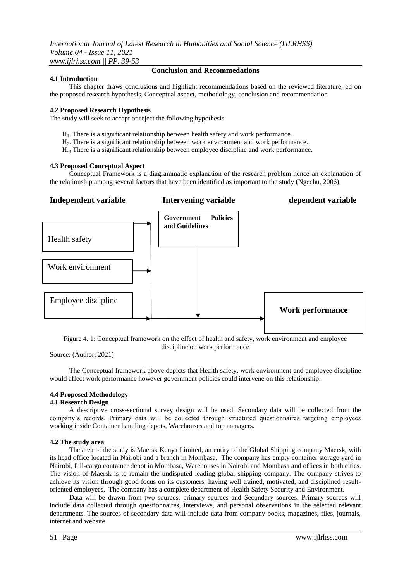# **4.1 Introduction**

# **Conclusion and Recommedations**

This chapter draws conclusions and highlight recommendations based on the reviewed literature, ed on the proposed research hypothesis, Conceptual aspect, methodology, conclusion and recommendation

# **4.2 Proposed Research Hypothesis**

The study will seek to accept or reject the following hypothesis.

- $H<sub>1</sub>$ . There is a significant relationship between health safety and work performance.
- H2. There is a significant relationship between work environment and work performance.
- H.<sup>3</sup> There is a significant relationship between employee discipline and work performance.

# **4.3 Proposed Conceptual Aspect**

Conceptual Framework is a diagrammatic explanation of the research problem hence an explanation of the relationship among several factors that have been identified as important to the study (Ngechu, 2006).



Figure 4. 1: Conceptual framework on the effect of health and safety, work environment and employee discipline on work performance

Source: (Author, 2021)

The Conceptual framework above depicts that Health safety, work environment and employee discipline would affect work performance however government policies could intervene on this relationship.

# **4.4 Proposed Methodology**

# **4.1 Research Design**

A descriptive cross-sectional survey design will be used. Secondary data will be collected from the company"s records. Primary data will be collected through structured questionnaires targeting employees working inside Container handling depots, Warehouses and top managers.

# **4.2 The study area**

The area of the study is Maersk Kenya Limited, an entity of the Global Shipping company Maersk, with its head office located in Nairobi and a branch in Mombasa. The company has empty container storage yard in Nairobi, full-cargo container depot in Mombasa, Warehouses in Nairobi and Mombasa and offices in both cities. The vision of Maersk is to remain the undisputed leading global shipping company. The company strives to achieve its vision through good focus on its customers, having well trained, motivated, and disciplined resultoriented employees. The company has a complete department of Health Safety Security and Environment.

Data will be drawn from two sources: primary sources and Secondary sources. Primary sources will include data collected through questionnaires, interviews, and personal observations in the selected relevant departments. The sources of secondary data will include data from company books, magazines, files, journals, internet and website.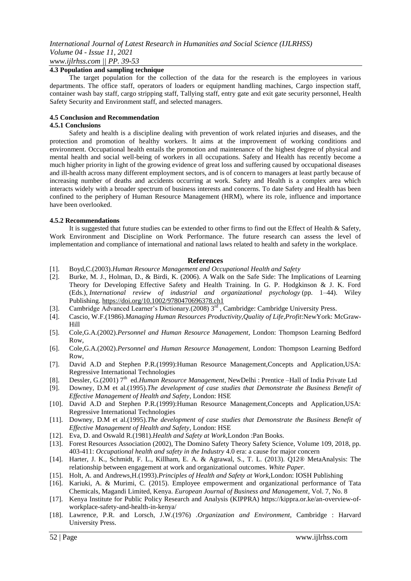# **4.3 Population and sampling technique**

The target population for the collection of the data for the research is the employees in various departments. The office staff, operators of loaders or equipment handling machines, Cargo inspection staff, container wash bay staff, cargo stripping staff, Tallying staff, entry gate and exit gate security personnel, Health Safety Security and Environment staff, and selected managers.

# **4.5 Conclusion and Recommendation**

# **4.5.1 Conclusions**

Safety and health is a discipline dealing with prevention of work related injuries and diseases, and the protection and promotion of healthy workers. It aims at the improvement of working conditions and environment. Occupational health entails the promotion and maintenance of the highest degree of physical and mental health and social well-being of workers in all occupations. Safety and Health has recently become a much higher priority in light of the growing evidence of great loss and suffering caused by occupational diseases and ill-health across many different employment sectors, and is of concern to managers at least partly because of increasing number of deaths and accidents occurring at work. Safety and Health is a complex area which interacts widely with a broader spectrum of business interests and concerns. To date Safety and Health has been confined to the periphery of Human Resource Management (HRM), where its role, influence and importance have been overlooked.

# **4.5.2 Recommendations**

It is suggested that future studies can be extended to other firms to find out the Effect of Health & Safety, Work Environment and Discipline on Work Performance. The future research can assess the level of implementation and compliance of international and national laws related to health and safety in the workplace.

# **References**

- [1]. Boyd,C.(2003).*Human Resource Management and Occupational Health and Safety*
- [2]. Burke, M. J., Holman, D., & Birdi, K. (2006). A Walk on the Safe Side: The Implications of Learning Theory for Developing Effective Safety and Health Training. In G. P. Hodgkinson & J. K. Ford (Eds.), *International review of industrial and organizational psychology* (pp. 1–44). Wiley Publishing. [https://doi.org/10.1002/9780470696378.ch1](https://psycnet.apa.org/doi/10.1002/9780470696378.ch1)
- [3]. Cambridge Advanced Learner's Dictionary.(2008) 3<sup>rd</sup>, Cambridge: Cambridge University Press.
- [4]. Cascio, W.F.(1986).*Managing Human Resources Productivity,Quality of Life,Profit*:NewYork: McGraw-Hill
- [5]. Cole,G.A.(2002).*Personnel and Human Resource Management*, London: Thompson Learning Bedford Row,
- [6]. Cole,G.A.(2002).*Personnel and Human Resource Management*, London: Thompson Learning Bedford Row,
- [7]. David A.D and Stephen P.R.(1999):Human Resource Management,Concepts and Application,USA: Regressive International Technologies
- [8]. Dessler, G.(2001) 7<sup>th</sup> ed.*Human Resource Management*, NewDelhi : Prentice -Hall of India Private Ltd
- [9]. Downey, D.M et al.(1995).*The development of case studies that Demonstrate the Business Benefit of Effective Management of Health and Safety*, London: HSE
- [10]. David A.D and Stephen P.R.(1999):Human Resource Management,Concepts and Application,USA: Regressive International Technologies
- [11]. Downey, D.M et al.(1995).*The development of case studies that Demonstrate the Business Benefit of Effective Management of Health and Safety*, London: HSE
- [12]. Eva, D. and Oswald R.(1981).*Health and Safety at Work,*London :Pan Books.
- [13]. Forest Resources Association (2002), The Domino Safety Theory Safety Science, Volume 109, 2018, pp. 403-411: *Occupational health and safety in the Industry* 4.0 era: a cause for major concern
- [14]. Harter, J. K., Schmidt, F. L., Killham, E. A. & Agrawal, S., T. L. (2013). Q12® MetaAnalysis: The relationship between engagement at work and organizational outcomes. *White Paper.*
- [15]. Holt, A. and Andrews,H.(1993).*Principles of Health and Safety at Work,*London: IOSH Publishing
- [16]. Kariuki, A. & Murimi, C. (2015). Employee empowerment and organizational performance of Tata Chemicals, Magandi Limited, Kenya. *European Journal of Business and Management*, Vol. 7, No. 8
- [17]. Kenya Institute for Public Policy Research and Analysis (KIPPRA) https://kippra.or.ke/an-overview-ofworkplace-safety-and-health-in-kenya/
- [18]. Lawrence, P.R. and Lorsch, J.W.(1976) .*Organization and Environment*, Cambridge : Harvard University Press.